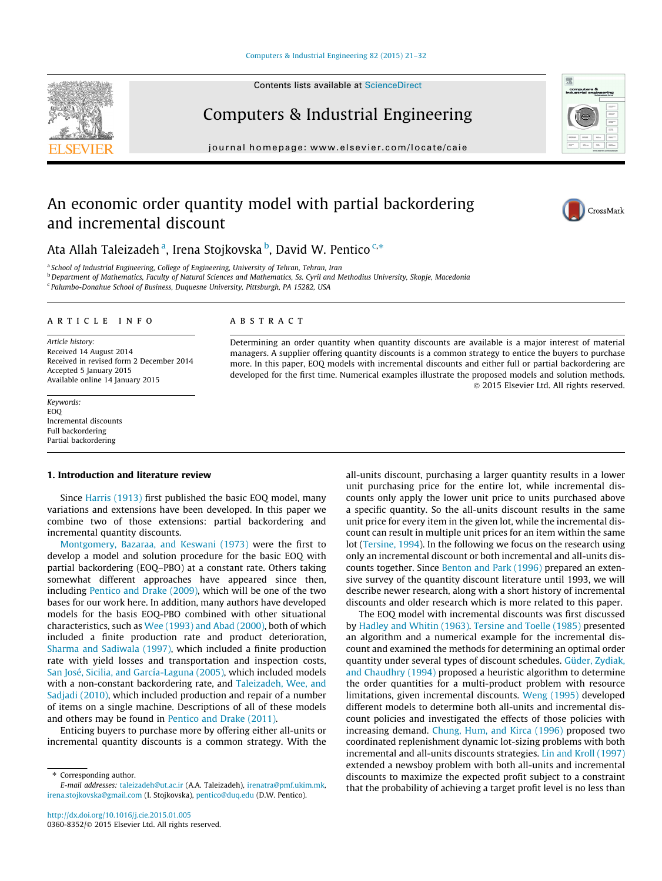#### [Computers & Industrial Engineering 82 \(2015\) 21–32](http://dx.doi.org/10.1016/j.cie.2015.01.005)

Contents lists available at [ScienceDirect](http://www.sciencedirect.com/science/journal/03608352)

# Computers & Industrial Engineering

journal homepage: [www.elsevier.com/locate/caie](http://www.elsevier.com/locate/caie)

# An economic order quantity model with partial backordering and incremental discount

Ata Allah Taleizadeh<sup>a</sup>, Irena Stojkovska <sup>b</sup>, David W. Pentico <sup>c,</sup>\*

<sup>a</sup> School of Industrial Engineering, College of Engineering, University of Tehran, Tehran, Iran

<sup>b</sup> Department of Mathematics, Faculty of Natural Sciences and Mathematics, Ss. Cyril and Methodius University, Skopje, Macedonia <sup>c</sup> Palumbo-Donahue School of Business, Duquesne University, Pittsburgh, PA 15282, USA

#### article info

Article history: Received 14 August 2014 Received in revised form 2 December 2014 Accepted 5 January 2015 Available online 14 January 2015

Keywords: EOQ Incremental discounts Full backordering Partial backordering

## A B S T R A C T

Determining an order quantity when quantity discounts are available is a major interest of material managers. A supplier offering quantity discounts is a common strategy to entice the buyers to purchase more. In this paper, EOQ models with incremental discounts and either full or partial backordering are developed for the first time. Numerical examples illustrate the proposed models and solution methods. - 2015 Elsevier Ltd. All rights reserved.

#### 1. Introduction and literature review

Since [Harris \(1913\)](#page--1-0) first published the basic EOQ model, many variations and extensions have been developed. In this paper we combine two of those extensions: partial backordering and incremental quantity discounts.

[Montgomery, Bazaraa, and Keswani \(1973\)](#page--1-0) were the first to develop a model and solution procedure for the basic EOQ with partial backordering (EOQ–PBO) at a constant rate. Others taking somewhat different approaches have appeared since then, including [Pentico and Drake \(2009\),](#page--1-0) which will be one of the two bases for our work here. In addition, many authors have developed models for the basis EOQ-PBO combined with other situational characteristics, such as [Wee \(1993\) and Abad \(2000\),](#page--1-0) both of which included a finite production rate and product deterioration, [Sharma and Sadiwala \(1997\),](#page--1-0) which included a finite production rate with yield losses and transportation and inspection costs, [San José, Sicilia, and García-Laguna \(2005\),](#page--1-0) which included models with a non-constant backordering rate, and [Taleizadeh, Wee, and](#page--1-0) [Sadjadi \(2010\)](#page--1-0), which included production and repair of a number of items on a single machine. Descriptions of all of these models and others may be found in [Pentico and Drake \(2011\)](#page--1-0).

Enticing buyers to purchase more by offering either all-units or incremental quantity discounts is a common strategy. With the all-units discount, purchasing a larger quantity results in a lower unit purchasing price for the entire lot, while incremental discounts only apply the lower unit price to units purchased above a specific quantity. So the all-units discount results in the same unit price for every item in the given lot, while the incremental discount can result in multiple unit prices for an item within the same lot ([Tersine, 1994](#page--1-0)). In the following we focus on the research using only an incremental discount or both incremental and all-units discounts together. Since [Benton and Park \(1996\)](#page--1-0) prepared an extensive survey of the quantity discount literature until 1993, we will describe newer research, along with a short history of incremental discounts and older research which is more related to this paper.

The EOQ model with incremental discounts was first discussed by [Hadley and Whitin \(1963\)](#page--1-0). [Tersine and Toelle \(1985\)](#page--1-0) presented an algorithm and a numerical example for the incremental discount and examined the methods for determining an optimal order quantity under several types of discount schedules. [Güder, Zydiak,](#page--1-0) [and Chaudhry \(1994\)](#page--1-0) proposed a heuristic algorithm to determine the order quantities for a multi-product problem with resource limitations, given incremental discounts. [Weng \(1995\)](#page--1-0) developed different models to determine both all-units and incremental discount policies and investigated the effects of those policies with increasing demand. [Chung, Hum, and Kirca \(1996\)](#page--1-0) proposed two coordinated replenishment dynamic lot-sizing problems with both incremental and all-units discounts strategies. [Lin and Kroll \(1997\)](#page--1-0) extended a newsboy problem with both all-units and incremental discounts to maximize the expected profit subject to a constraint that the probability of achieving a target profit level is no less than







Corresponding author. E-mail addresses: [taleizadeh@ut.ac.ir](mailto:taleizadeh@ut.ac.ir) (A.A. Taleizadeh), [irenatra@pmf.ukim.mk](mailto:irenatra@pmf.ukim.mk), [irena.stojkovska@gmail.com](mailto:irena.stojkovska@gmail.com) (I. Stojkovska), [pentico@duq.edu](mailto:pentico@duq.edu) (D.W. Pentico).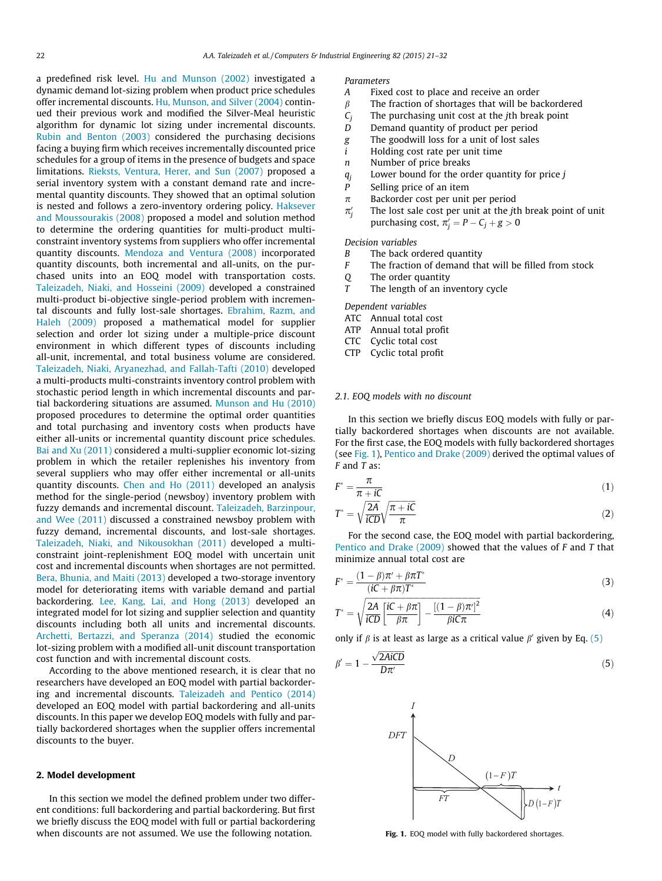a predefined risk level. [Hu and Munson \(2002\)](#page--1-0) investigated a dynamic demand lot-sizing problem when product price schedules offer incremental discounts. [Hu, Munson, and Silver \(2004\)](#page--1-0) continued their previous work and modified the Silver-Meal heuristic algorithm for dynamic lot sizing under incremental discounts. [Rubin and Benton \(2003\)](#page--1-0) considered the purchasing decisions facing a buying firm which receives incrementally discounted price schedules for a group of items in the presence of budgets and space limitations. [Rieksts, Ventura, Herer, and Sun \(2007\)](#page--1-0) proposed a serial inventory system with a constant demand rate and incremental quantity discounts. They showed that an optimal solution is nested and follows a zero-inventory ordering policy. [Haksever](#page--1-0) [and Moussourakis \(2008\)](#page--1-0) proposed a model and solution method to determine the ordering quantities for multi-product multiconstraint inventory systems from suppliers who offer incremental quantity discounts. [Mendoza and Ventura \(2008\)](#page--1-0) incorporated quantity discounts, both incremental and all-units, on the purchased units into an EOQ model with transportation costs. [Taleizadeh, Niaki, and Hosseini \(2009\)](#page--1-0) developed a constrained multi-product bi-objective single-period problem with incremental discounts and fully lost-sale shortages. [Ebrahim, Razm, and](#page--1-0) [Haleh \(2009\)](#page--1-0) proposed a mathematical model for supplier selection and order lot sizing under a multiple-price discount environment in which different types of discounts including all-unit, incremental, and total business volume are considered. [Taleizadeh, Niaki, Aryanezhad, and Fallah-Tafti \(2010\)](#page--1-0) developed a multi-products multi-constraints inventory control problem with stochastic period length in which incremental discounts and partial backordering situations are assumed. [Munson and Hu \(2010\)](#page--1-0) proposed procedures to determine the optimal order quantities and total purchasing and inventory costs when products have either all-units or incremental quantity discount price schedules. [Bai and Xu \(2011\)](#page--1-0) considered a multi-supplier economic lot-sizing problem in which the retailer replenishes his inventory from several suppliers who may offer either incremental or all-units quantity discounts. [Chen and Ho \(2011\)](#page--1-0) developed an analysis method for the single-period (newsboy) inventory problem with fuzzy demands and incremental discount. [Taleizadeh, Barzinpour,](#page--1-0) [and Wee \(2011\)](#page--1-0) discussed a constrained newsboy problem with fuzzy demand, incremental discounts, and lost-sale shortages. [Taleizadeh, Niaki, and Nikousokhan \(2011\)](#page--1-0) developed a multiconstraint joint-replenishment EOQ model with uncertain unit cost and incremental discounts when shortages are not permitted. [Bera, Bhunia, and Maiti \(2013\)](#page--1-0) developed a two-storage inventory model for deteriorating items with variable demand and partial backordering. [Lee, Kang, Lai, and Hong \(2013\)](#page--1-0) developed an integrated model for lot sizing and supplier selection and quantity discounts including both all units and incremental discounts. [Archetti, Bertazzi, and Speranza \(2014\)](#page--1-0) studied the economic lot-sizing problem with a modified all-unit discount transportation cost function and with incremental discount costs.

According to the above mentioned research, it is clear that no researchers have developed an EOQ model with partial backordering and incremental discounts. [Taleizadeh and Pentico \(2014\)](#page--1-0) developed an EOQ model with partial backordering and all-units discounts. In this paper we develop EOQ models with fully and partially backordered shortages when the supplier offers incremental discounts to the buyer.

## 2. Model development

In this section we model the defined problem under two different conditions: full backordering and partial backordering. But first we briefly discuss the EOQ model with full or partial backordering when discounts are not assumed. We use the following notation.

### Parameters

- A Fixed cost to place and receive an order
- $\beta$  The fraction of shortages that will be backordered
- $C_i$  The purchasing unit cost at the *j*th break point
- D Demand quantity of product per period
- g The goodwill loss for a unit of lost sales
- i Holding cost rate per unit time
- n Number of price breaks
- $q_i$  Lower bound for the order quantity for price j
- P Selling price of an item
- $\pi$  Backorder cost per unit per period
- $\pi_i'$ The lost sale cost per unit at the jth break point of unit purchasing cost,  $\pi'_j = P - C_j + g > 0$

Decision variables

- B The back ordered quantity
- $F$  The fraction of demand that will be filled from stock
- Q The order quantity
- $T$  The length of an inventory cycle

Dependent variables

- ATC Annual total cost
- ATP Annual total profit
- CTC Cyclic total cost
- CTP Cyclic total profit

#### 2.1. EOQ models with no discount

In this section we briefly discus EOQ models with fully or partially backordered shortages when discounts are not available. For the first case, the EOQ models with fully backordered shortages (see Fig. 1), [Pentico and Drake \(2009\)](#page--1-0) derived the optimal values of  $F$  and  $T$  as:

$$
F^* = \frac{\pi}{\pi + iC} \tag{1}
$$

$$
T^* = \sqrt{\frac{2A}{iCD}} \sqrt{\frac{\pi + iC}{\pi}}
$$
 (2)

For the second case, the EOQ model with partial backordering, [Pentico and Drake \(2009\)](#page--1-0) showed that the values of F and T that minimize annual total cost are

$$
F^* = \frac{(1 - \beta)\pi' + \beta\pi T^*}{(iC + \beta\pi)T^*}
$$
\n(3)

$$
T^* = \sqrt{\frac{2A}{iCD} \left[ \frac{iC + \beta \pi}{\beta \pi} \right] - \frac{\left[ (1 - \beta)\pi' \right]^2}{\beta i C \pi}}
$$
(4)

only if  $\beta$  is at least as large as a critical value  $\beta'$  given by Eq. (5)

$$
\beta' = 1 - \frac{\sqrt{2A i C D}}{D \pi'}
$$
\n(5)



Fig. 1. EOQ model with fully backordered shortages.